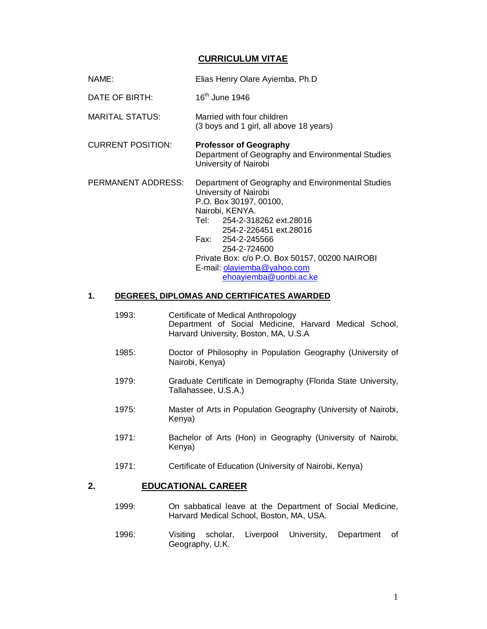#### **CURRICULUM VITAE**

DATE OF BIRTH: 16<sup>th</sup> June 1946

- MARITAL STATUS: Married with four children (3 boys and 1 girl, all above 18 years)
- CURRENT POSITION: **Professor of Geography** Department of Geography and Environmental Studies University of Nairobi

PERMANENT ADDRESS: Department of Geography and Environmental Studies University of Nairobi P.O. Box 30197, 00100, Nairobi, KENYA. Tel: 254-2-318262 ext.28016 254-2-226451 ext.28016 Fax: 254-2-245566 254-2-724600 Private Box: c/o P.O. Box 50157, 00200 NAIROBI E-mail: olayiemba@yahoo.com ehoayiemba@uonbi.ac.ke

#### **1. DEGREES, DIPLOMAS AND CERTIFICATES AWARDED**

- 1993: Certificate of Medical Anthropology Department of Social Medicine, Harvard Medical School, Harvard University, Boston, MA, U.S.A
- 1985: Doctor of Philosophy in Population Geography (University of Nairobi, Kenya)
- 1979: Graduate Certificate in Demography (Florida State University, Tallahassee, U.S.A.)
- 1975: Master of Arts in Population Geography (University of Nairobi, Kenya)
- 1971: Bachelor of Arts (Hon) in Geography (University of Nairobi, Kenya)
- 1971: Certificate of Education (University of Nairobi, Kenya)

#### **2. EDUCATIONAL CAREER**

- 1999: On sabbatical leave at the Department of Social Medicine, Harvard Medical School, Boston, MA, USA.
- 1996: Visiting scholar, Liverpool University, Department of Geography, U.K.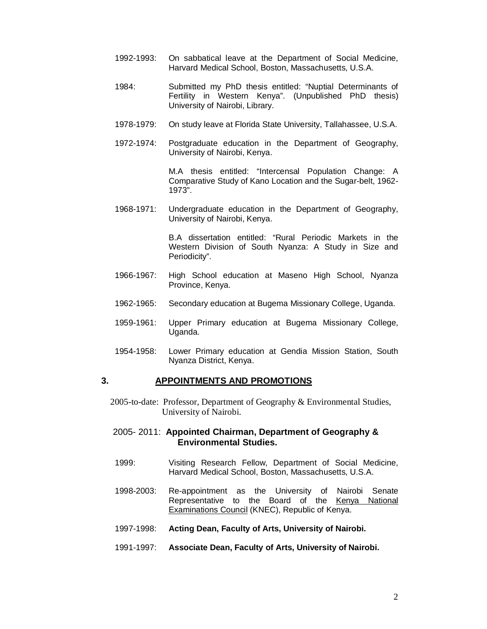- 1992-1993: On sabbatical leave at the Department of Social Medicine, Harvard Medical School, Boston, Massachusetts, U.S.A.
- 1984: Submitted my PhD thesis entitled: "Nuptial Determinants of Fertility in Western Kenya". (Unpublished PhD thesis) University of Nairobi, Library.
- 1978-1979: On study leave at Florida State University, Tallahassee, U.S.A.
- 1972-1974: Postgraduate education in the Department of Geography, University of Nairobi, Kenya.

M.A thesis entitled: "Intercensal Population Change: A Comparative Study of Kano Location and the Sugar-belt, 1962- 1973".

1968-1971: Undergraduate education in the Department of Geography, University of Nairobi, Kenya.

> B.A dissertation entitled: "Rural Periodic Markets in the Western Division of South Nyanza: A Study in Size and Periodicity".

- 1966-1967: High School education at Maseno High School, Nyanza Province, Kenya.
- 1962-1965: Secondary education at Bugema Missionary College, Uganda.
- 1959-1961: Upper Primary education at Bugema Missionary College, Uganda.
- 1954-1958: Lower Primary education at Gendia Mission Station, South Nyanza District, Kenya.

#### **3. APPOINTMENTS AND PROMOTIONS**

 2005-to-date: Professor, Department of Geography & Environmental Studies, University of Nairobi.

#### 2005- 2011: **Appointed Chairman, Department of Geography & Environmental Studies.**

- 1999: Visiting Research Fellow, Department of Social Medicine, Harvard Medical School, Boston, Massachusetts, U.S.A.
- 1998-2003: Re-appointment as the University of Nairobi Senate Representative to the Board of the Kenya National Examinations Council (KNEC), Republic of Kenya.
- 1997-1998: **Acting Dean, Faculty of Arts, University of Nairobi.**
- 1991-1997: **Associate Dean, Faculty of Arts, University of Nairobi.**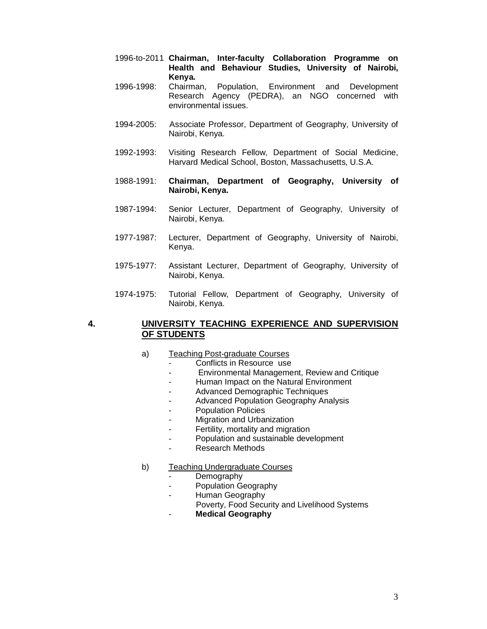- 1996-to-2011 **Chairman, Inter-faculty Collaboration Programme on Health and Behaviour Studies, University of Nairobi, Kenya.**
- 1996-1998: Chairman, Population, Environment and Development Research Agency (PEDRA), an NGO concerned with environmental issues.
- 1994-2005: Associate Professor, Department of Geography, University of Nairobi, Kenya.
- 1992-1993: Visiting Research Fellow, Department of Social Medicine, Harvard Medical School, Boston, Massachusetts, U.S.A.
- 1988-1991: **Chairman, Department of Geography, University of Nairobi, Kenya.**
- 1987-1994: Senior Lecturer, Department of Geography, University of Nairobi, Kenya.
- 1977-1987: Lecturer, Department of Geography, University of Nairobi, Kenya.
- 1975-1977: Assistant Lecturer, Department of Geography, University of Nairobi, Kenya.
- 1974-1975: Tutorial Fellow, Department of Geography, University of Nairobi, Kenya.

#### **4. UNIVERSITY TEACHING EXPERIENCE AND SUPERVISION OF STUDENTS**

- a) Teaching Post-graduate Courses
	- Conflicts in Resource use
	- Environmental Management, Review and Critique
	- Human Impact on the Natural Environment
	- Advanced Demographic Techniques
	- Advanced Population Geography Analysis
	- Population Policies
	- Migration and Urbanization
	- Fertility, mortality and migration
	- Population and sustainable development
	- Research Methods
- b) Teaching Undergraduate Courses
	- **Demography**
	- Population Geography
	- Human Geography
	- Poverty, Food Security and Livelihood Systems
	- **Medical Geography**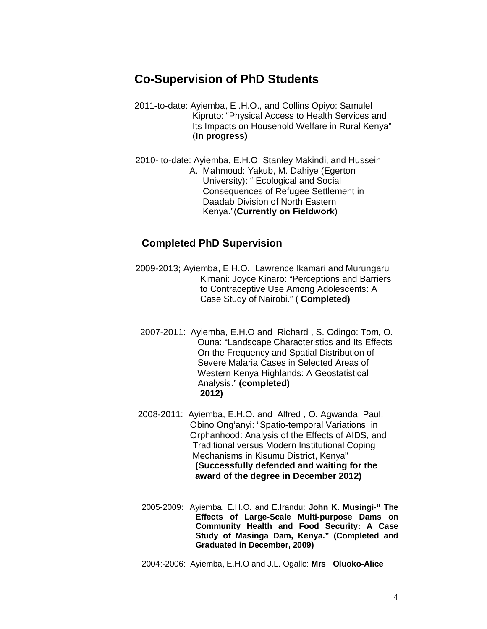## **Co-Supervision of PhD Students**

- 2011-to-date: Ayiemba, E .H.O., and Collins Opiyo: Samulel Kipruto: "Physical Access to Health Services and Its Impacts on Household Welfare in Rural Kenya" (**In progress)**
- 2010- to-date: Ayiemba, E.H.O; Stanley Makindi, and Hussein A. Mahmoud: Yakub, M. Dahiye (Egerton University): " Ecological and Social Consequences of Refugee Settlement in Daadab Division of North Eastern Kenya."(**Currently on Fieldwork**)

## **Completed PhD Supervision**

- 2009-2013; Ayiemba, E.H.O., Lawrence Ikamari and Murungaru Kimani: Joyce Kinaro: "Perceptions and Barriers to Contraceptive Use Among Adolescents: A Case Study of Nairobi." ( **Completed)**
	- 2007-2011: Ayiemba, E.H.O and Richard , S. Odingo: Tom, O. Ouna: "Landscape Characteristics and Its Effects On the Frequency and Spatial Distribution of Severe Malaria Cases in Selected Areas of Western Kenya Highlands: A Geostatistical Analysis." **(completed) 2012)**
- 2008-2011: Ayiemba, E.H.O. and Alfred , O. Agwanda: Paul, Obino Ong'anyi: "Spatio-temporal Variations in Orphanhood: Analysis of the Effects of AIDS, and Traditional versus Modern Institutional Coping Mechanisms in Kisumu District, Kenya" **(Successfully defended and waiting for the award of the degree in December 2012)**
- 2005-2009: Ayiemba, E.H.O. and E.Irandu: **John K. Musingi-" The Effects of Large-Scale Multi-purpose Dams on Community Health and Food Security: A Case Study of Masinga Dam, Kenya." (Completed and Graduated in December, 2009)**

2004:-2006: Ayiemba, E.H.O and J.L. Ogallo: **Mrs Oluoko-Alice**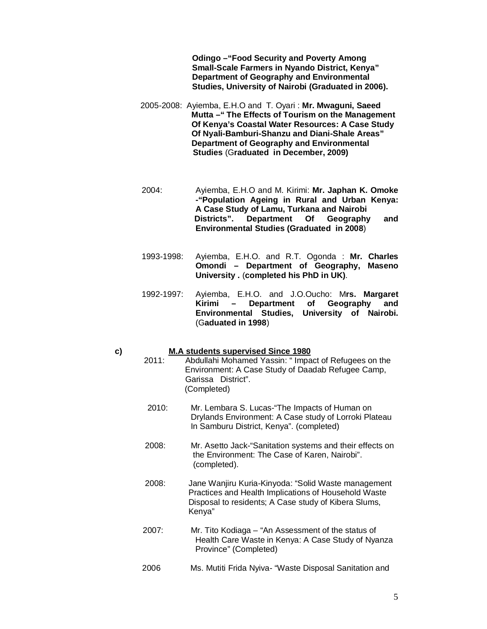**Odingo –"Food Security and Poverty Among Small-Scale Farmers in Nyando District, Kenya" Department of Geography and Environmental Studies, University of Nairobi (Graduated in 2006).**

- 2005-2008: Ayiemba, E.H.O and T. Oyari : **Mr. Mwaguni, Saeed Mutta –" The Effects of Tourism on the Management Of Kenya's Coastal Water Resources: A Case Study Of Nyali-Bamburi-Shanzu and Diani-Shale Areas" Department of Geography and Environmental Studies** (G**raduated in December, 2009)**
- 2004: Ayiemba, E.H.O and M. Kirimi: **Mr. Japhan K. Omoke -"Population Ageing in Rural and Urban Kenya: A Case Study of Lamu, Turkana and Nairobi**  Department Of Geography and **Environmental Studies (Graduated in 2008**)
- 1993-1998: Ayiemba, E.H.O. and R.T. Ogonda : **Mr. Charles Omondi – Department of Geography, Maseno University .** (**completed his PhD in UK)**.
- 1992-1997: Ayiemba, E.H.O. and J.O.Oucho: M**rs. Margaret Kirimi – Department of Geography and Environmental Studies, University of Nairobi.** (G**aduated in 1998**)

# **c) M.A students supervised Since 1980**

- Abdullahi Mohamed Yassin: " Impact of Refugees on the Environment: A Case Study of Daadab Refugee Camp, Garissa District". (Completed)
- 2010: Mr. Lembara S. Lucas-"The Impacts of Human on Drylands Environment: A Case study of Lorroki Plateau In Samburu District, Kenya". (completed)
- 2008: Mr. Asetto Jack-"Sanitation systems and their effects on the Environment: The Case of Karen, Nairobi". (completed).
- 2008: Jane Wanjiru Kuria-Kinyoda: "Solid Waste management Practices and Health Implications of Household Waste Disposal to residents; A Case study of Kibera Slums, Kenya"
- 2007: Mr. Tito Kodiaga "An Assessment of the status of Health Care Waste in Kenya: A Case Study of Nyanza Province" (Completed)
- 2006 Ms. Mutiti Frida Nyiva- "Waste Disposal Sanitation and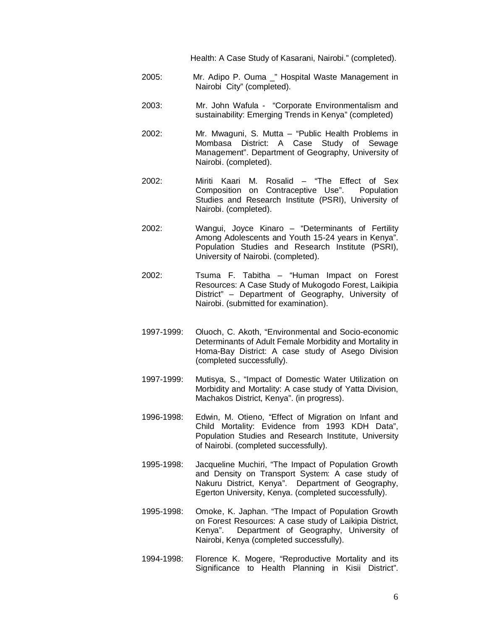Health: A Case Study of Kasarani, Nairobi." (completed).

- 2005: Mr. Adipo P. Ouma \_" Hospital Waste Management in Nairobi City" (completed).
- 2003: Mr. John Wafula "Corporate Environmentalism and sustainability: Emerging Trends in Kenya" (completed)
- 2002: Mr. Mwaguni, S. Mutta "Public Health Problems in Mombasa District: A Case Study of Sewage Management". Department of Geography, University of Nairobi. (completed).
- 2002: Miriti Kaari M. Rosalid "The Effect of Sex Composition on Contraceptive Use". Population Studies and Research Institute (PSRI), University of Nairobi. (completed).
- 2002: Wangui, Joyce Kinaro "Determinants of Fertility Among Adolescents and Youth 15-24 years in Kenya". Population Studies and Research Institute (PSRI), University of Nairobi. (completed).
- 2002: Tsuma F. Tabitha "Human Impact on Forest Resources: A Case Study of Mukogodo Forest, Laikipia District" – Department of Geography, University of Nairobi. (submitted for examination).
- 1997-1999: Oluoch, C. Akoth, "Environmental and Socio-economic Determinants of Adult Female Morbidity and Mortality in Homa-Bay District: A case study of Asego Division (completed successfully).
- 1997-1999: Mutisya, S., "Impact of Domestic Water Utilization on Morbidity and Mortality: A case study of Yatta Division, Machakos District, Kenya". (in progress).
- 1996-1998: Edwin, M. Otieno, "Effect of Migration on Infant and Child Mortality: Evidence from 1993 KDH Data", Population Studies and Research Institute, University of Nairobi. (completed successfully).
- 1995-1998: Jacqueline Muchiri, "The Impact of Population Growth and Density on Transport System: A case study of Nakuru District, Kenya". Department of Geography, Egerton University, Kenya. (completed successfully).
- 1995-1998: Omoke, K. Japhan. "The Impact of Population Growth on Forest Resources: A case study of Laikipia District, Kenya". Department of Geography, University of Nairobi, Kenya (completed successfully).
- 1994-1998: Florence K. Mogere, "Reproductive Mortality and its Significance to Health Planning in Kisii District".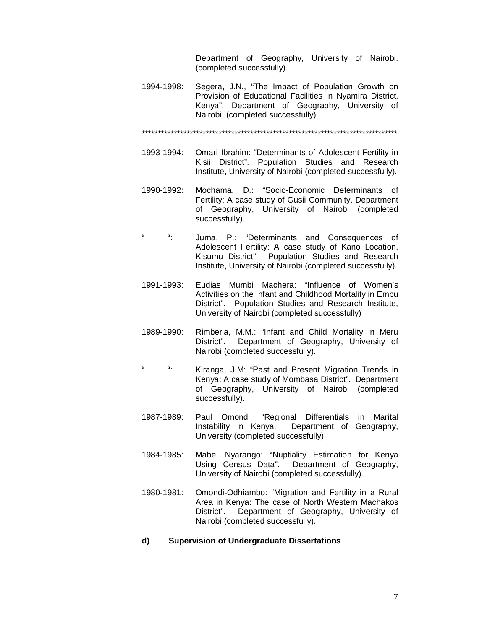Department of Geography, University of Nairobi. (completed successfully).

1994-1998: Segera, J.N., "The Impact of Population Growth on Provision of Educational Facilities in Nyamira District, Kenya", Department of Geography, University of Nairobi. (completed successfully).

\*\*\*\*\*\*\*\*\*\*\*\*\*\*\*\*\*\*\*\*\*\*\*\*\*\*\*\*\*\*\*\*\*\*\*\*\*\*\*\*\*\*\*\*\*\*\*\*\*\*\*\*\*\*\*\*\*\*\*\*\*\*\*\*\*\*\*\*\*\*\*\*\*\*\*\*\*\*\*\*

- 1993-1994: Omari Ibrahim: "Determinants of Adolescent Fertility in Kisii District". Population Studies and Research Institute, University of Nairobi (completed successfully).
- 1990-1992: Mochama, D.: "Socio-Economic Determinants of Fertility: A case study of Gusii Community. Department of Geography, University of Nairobi (completed successfully).
- ": Juma, P.: "Determinants and Consequences of Adolescent Fertility: A case study of Kano Location, Kisumu District". Population Studies and Research Institute, University of Nairobi (completed successfully).
- 1991-1993: Eudias Mumbi Machera: "Influence of Women's Activities on the Infant and Childhood Mortality in Embu District". Population Studies and Research Institute, University of Nairobi (completed successfully)
- 1989-1990: Rimberia, M.M.: "Infant and Child Mortality in Meru District". Department of Geography, University of Nairobi (completed successfully).
- ": Kiranga, J.M: "Past and Present Migration Trends in Kenya: A case study of Mombasa District". Department of Geography, University of Nairobi (completed successfully).
- 1987-1989: Paul Omondi: "Regional Differentials in Marital Instability in Kenya. Department of Geography, University (completed successfully).
- 1984-1985: Mabel Nyarango: "Nuptiality Estimation for Kenya Using Census Data". Department of Geography, University of Nairobi (completed successfully).
- 1980-1981: Omondi-Odhiambo: "Migration and Fertility in a Rural Area in Kenya: The case of North Western Machakos District". Department of Geography, University of Nairobi (completed successfully).

#### **d) Supervision of Undergraduate Dissertations**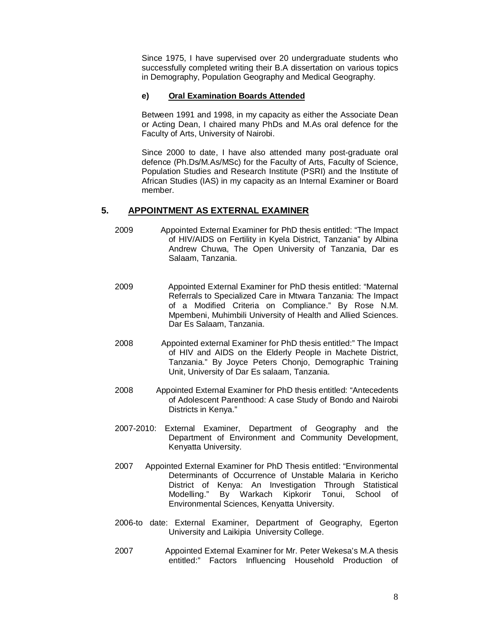Since 1975, I have supervised over 20 undergraduate students who successfully completed writing their B.A dissertation on various topics in Demography, Population Geography and Medical Geography.

#### **e) Oral Examination Boards Attended**

Between 1991 and 1998, in my capacity as either the Associate Dean or Acting Dean, I chaired many PhDs and M.As oral defence for the Faculty of Arts, University of Nairobi.

Since 2000 to date, I have also attended many post-graduate oral defence (Ph.Ds/M.As/MSc) for the Faculty of Arts, Faculty of Science, Population Studies and Research Institute (PSRI) and the Institute of African Studies (IAS) in my capacity as an Internal Examiner or Board member.

#### **5. APPOINTMENT AS EXTERNAL EXAMINER**

- 2009 Appointed External Examiner for PhD thesis entitled: "The Impact of HIV/AIDS on Fertility in Kyela District, Tanzania" by Albina Andrew Chuwa, The Open University of Tanzania, Dar es Salaam, Tanzania.
- 2009 Appointed External Examiner for PhD thesis entitled: "Maternal Referrals to Specialized Care in Mtwara Tanzania: The Impact of a Modified Criteria on Compliance." By Rose N.M. Mpembeni, Muhimbili University of Health and Allied Sciences. Dar Es Salaam, Tanzania.
- 2008 Appointed external Examiner for PhD thesis entitled:" The Impact of HIV and AIDS on the Elderly People in Machete District, Tanzania." By Joyce Peters Chonjo, Demographic Training Unit, University of Dar Es salaam, Tanzania.
- 2008 Appointed External Examiner for PhD thesis entitled: "Antecedents of Adolescent Parenthood: A case Study of Bondo and Nairobi Districts in Kenya."
- 2007-2010: External Examiner, Department of Geography and the Department of Environment and Community Development, Kenyatta University.
- 2007 Appointed External Examiner for PhD Thesis entitled: "Environmental Determinants of Occurrence of Unstable Malaria in Kericho District of Kenya: An Investigation Through Statistical Modelling." By Warkach Kipkorir Tonui, School of Environmental Sciences, Kenyatta University.
- 2006-to date: External Examiner, Department of Geography, Egerton University and Laikipia University College.
- 2007 Appointed External Examiner for Mr. Peter Wekesa's M.A thesis entitled:" Factors Influencing Household Production of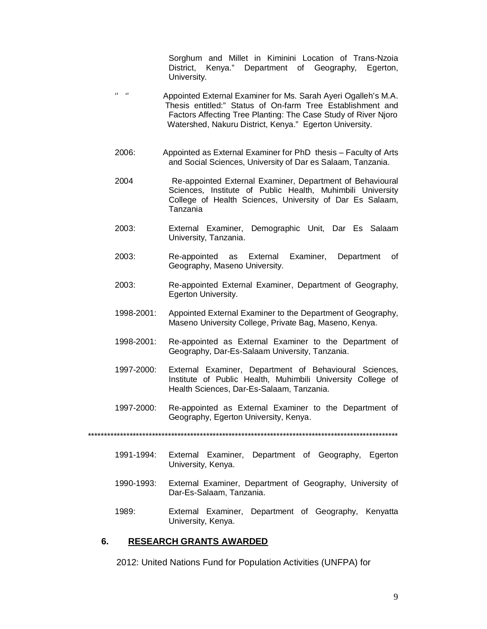Sorghum and Millet in Kiminini Location of Trans-Nzoia District, Kenya." Department of Geography, Egerton, University.

- " " Appointed External Examiner for Ms. Sarah Ayeri Ogalleh's M.A. Thesis entitled:" Status of On-farm Tree Establishment and Factors Affecting Tree Planting: The Case Study of River Njoro Watershed, Nakuru District, Kenya." Egerton University.
- 2006: Appointed as External Examiner for PhD thesis Faculty of Arts and Social Sciences, University of Dar es Salaam, Tanzania.
- 2004 Re-appointed External Examiner, Department of Behavioural Sciences, Institute of Public Health, Muhimbili University College of Health Sciences, University of Dar Es Salaam, Tanzania
- 2003: External Examiner, Demographic Unit, Dar Es Salaam University, Tanzania.
- 2003: Re-appointed as External Examiner, Department of Geography, Maseno University.
- 2003: Re-appointed External Examiner, Department of Geography, Egerton University.
- 1998-2001: Appointed External Examiner to the Department of Geography, Maseno University College, Private Bag, Maseno, Kenya.
- 1998-2001: Re-appointed as External Examiner to the Department of Geography, Dar-Es-Salaam University, Tanzania.
- 1997-2000: External Examiner, Department of Behavioural Sciences, Institute of Public Health, Muhimbili University College of Health Sciences, Dar-Es-Salaam, Tanzania.
- 1997-2000: Re-appointed as External Examiner to the Department of Geography, Egerton University, Kenya.

\*\*\*\*\*\*\*\*\*\*\*\*\*\*\*\*\*\*\*\*\*\*\*\*\*\*\*\*\*\*\*\*\*\*\*\*\*\*\*\*\*\*\*\*\*\*\*\*\*\*\*\*\*\*\*\*\*\*\*\*\*\*\*\*\*\*\*\*\*\*\*\*\*\*\*\*\*\*\*\*\*\*\*\*\*\*\*\*\*\*\*\*\*\*\*\*\*

- 1991-1994: External Examiner, Department of Geography, Egerton University, Kenya.
- 1990-1993: External Examiner, Department of Geography, University of Dar-Es-Salaam, Tanzania.
- 1989: External Examiner, Department of Geography, Kenyatta University, Kenya.

#### **6. RESEARCH GRANTS AWARDED**

2012: United Nations Fund for Population Activities (UNFPA) for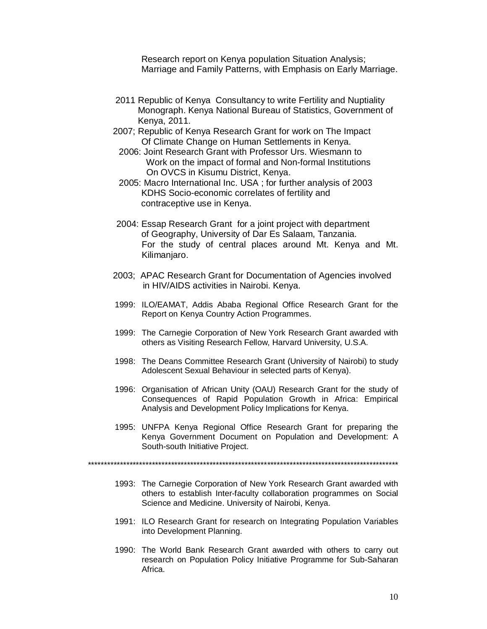Research report on Kenya population Situation Analysis; Marriage and Family Patterns, with Emphasis on Early Marriage.

- 2011 Republic of Kenya Consultancy to write Fertility and Nuptiality Monograph. Kenya National Bureau of Statistics, Government of Kenya, 2011.
- 2007; Republic of Kenya Research Grant for work on The Impact Of Climate Change on Human Settlements in Kenya.
	- 2006: Joint Research Grant with Professor Urs. Wiesmann to Work on the impact of formal and Non-formal Institutions On OVCS in Kisumu District, Kenya.
	- 2005: Macro International Inc. USA ; for further analysis of 2003 KDHS Socio-economic correlates of fertility and contraceptive use in Kenya.
- 2004: Essap Research Grant for a joint project with department of Geography, University of Dar Es Salaam, Tanzania. For the study of central places around Mt. Kenya and Mt. Kilimanjaro.
- 2003; APAC Research Grant for Documentation of Agencies involved in HIV/AIDS activities in Nairobi. Kenya.
- 1999: ILO/EAMAT, Addis Ababa Regional Office Research Grant for the Report on Kenya Country Action Programmes.
- 1999: The Carnegie Corporation of New York Research Grant awarded with others as Visiting Research Fellow, Harvard University, U.S.A.
- 1998: The Deans Committee Research Grant (University of Nairobi) to study Adolescent Sexual Behaviour in selected parts of Kenya).
- 1996: Organisation of African Unity (OAU) Research Grant for the study of Consequences of Rapid Population Growth in Africa: Empirical Analysis and Development Policy Implications for Kenya.
- 1995: UNFPA Kenya Regional Office Research Grant for preparing the Kenya Government Document on Population and Development: A South-south Initiative Project.

- 1993: The Carnegie Corporation of New York Research Grant awarded with others to establish Inter-faculty collaboration programmes on Social Science and Medicine. University of Nairobi, Kenya.
- 1991: ILO Research Grant for research on Integrating Population Variables into Development Planning.
- 1990: The World Bank Research Grant awarded with others to carry out research on Population Policy Initiative Programme for Sub-Saharan Africa.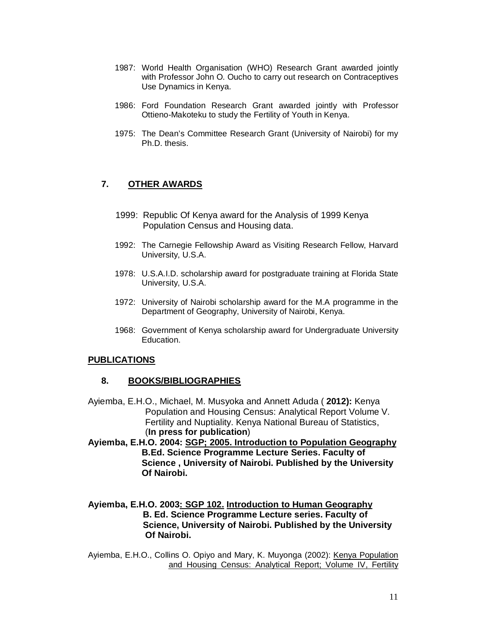- 1987: World Health Organisation (WHO) Research Grant awarded jointly with Professor John O. Oucho to carry out research on Contraceptives Use Dynamics in Kenya.
- 1986: Ford Foundation Research Grant awarded jointly with Professor Ottieno-Makoteku to study the Fertility of Youth in Kenya.
- 1975: The Dean's Committee Research Grant (University of Nairobi) for my Ph.D. thesis.

### **7. OTHER AWARDS**

- 1999: Republic Of Kenya award for the Analysis of 1999 Kenya Population Census and Housing data.
- 1992: The Carnegie Fellowship Award as Visiting Research Fellow, Harvard University, U.S.A.
- 1978: U.S.A.I.D. scholarship award for postgraduate training at Florida State University, U.S.A.
- 1972: University of Nairobi scholarship award for the M.A programme in the Department of Geography, University of Nairobi, Kenya.
- 1968: Government of Kenya scholarship award for Undergraduate University Education.

#### **PUBLICATIONS**

#### **8. BOOKS/BIBLIOGRAPHIES**

- Ayiemba, E.H.O., Michael, M. Musyoka and Annett Aduda ( **2012):** Kenya Population and Housing Census: Analytical Report Volume V. Fertility and Nuptiality. Kenya National Bureau of Statistics, (**In press for publication**)
- **Ayiemba, E.H.O. 2004: SGP; 2005. Introduction to Population Geography B.Ed. Science Programme Lecture Series. Faculty of Science , University of Nairobi. Published by the University Of Nairobi.**
- **Ayiemba, E.H.O. 2003: SGP 102. Introduction to Human Geography B. Ed. Science Programme Lecture series. Faculty of Science, University of Nairobi. Published by the University Of Nairobi.**

Ayiemba, E.H.O., Collins O. Opiyo and Mary, K. Muyonga (2002): Kenya Population and Housing Census: Analytical Report; Volume IV, Fertility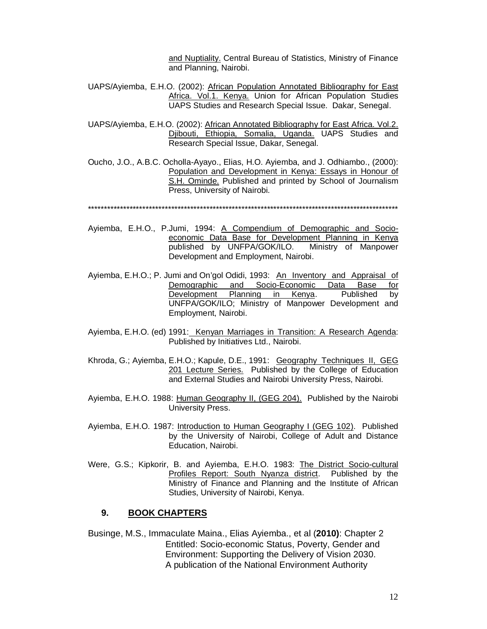and Nuptiality. Central Bureau of Statistics, Ministry of Finance and Planning, Nairobi.

- UAPS/Ayiemba, E.H.O. (2002): African Population Annotated Bibliography for East Africa. Vol.1. Kenya. Union for African Population Studies UAPS Studies and Research Special Issue. Dakar, Senegal.
- UAPS/Ayiemba, E.H.O. (2002): African Annotated Bibliography for East Africa. Vol.2. Djibouti, Ethiopia, Somalia, Uganda. UAPS Studies and Research Special Issue, Dakar, Senegal.
- Oucho, J.O., A.B.C. Ocholla-Ayayo., Elias, H.O. Ayiemba, and J. Odhiambo., (2000): Population and Development in Kenya: Essays in Honour of S.H. Ominde. Published and printed by School of Journalism Press, University of Nairobi.

\*\*\*\*\*\*\*\*\*\*\*\*\*\*\*\*\*\*\*\*\*\*\*\*\*\*\*\*\*\*\*\*\*\*\*\*\*\*\*\*\*\*\*\*\*\*\*\*\*\*\*\*\*\*\*\*\*\*\*\*\*\*\*\*\*\*\*\*\*\*\*\*\*\*\*\*\*\*\*\*\*\*\*\*\*\*\*\*\*\*\*\*\*\*\*\*\*

- Ayiemba, E.H.O., P.Jumi, 1994: A Compendium of Demographic and Socioeconomic Data Base for Development Planning in Kenya published by UNFPA/GOK/ILO. Ministry of Manpower Development and Employment, Nairobi.
- Ayiemba, E.H.O.; P. Jumi and On'gol Odidi, 1993: An Inventory and Appraisal of Demographic and Socio-Economic Data Base for Development Planning in Kenya. Published by UNFPA/GOK/ILO; Ministry of Manpower Development and Employment, Nairobi.
- Ayiemba, E.H.O. (ed) 1991: Kenyan Marriages in Transition: A Research Agenda: Published by Initiatives Ltd., Nairobi.
- Khroda, G.; Ayiemba, E.H.O.; Kapule, D.E., 1991: Geography Techniques II, GEG 201 Lecture Series. Published by the College of Education and External Studies and Nairobi University Press, Nairobi.
- Ayiemba, E.H.O. 1988: Human Geography II, (GEG 204). Published by the Nairobi University Press.
- Ayiemba, E.H.O. 1987: Introduction to Human Geography I (GEG 102). Published by the University of Nairobi, College of Adult and Distance Education, Nairobi.
- Were, G.S.; Kipkorir, B. and Ayiemba, E.H.O. 1983: The District Socio-cultural Profiles Report: South Nyanza district. Published by the Ministry of Finance and Planning and the Institute of African Studies, University of Nairobi, Kenya.

#### **9. BOOK CHAPTERS**

Businge, M.S., Immaculate Maina., Elias Ayiemba., et al (**2010)**: Chapter 2 Entitled: Socio-economic Status, Poverty, Gender and Environment: Supporting the Delivery of Vision 2030. A publication of the National Environment Authority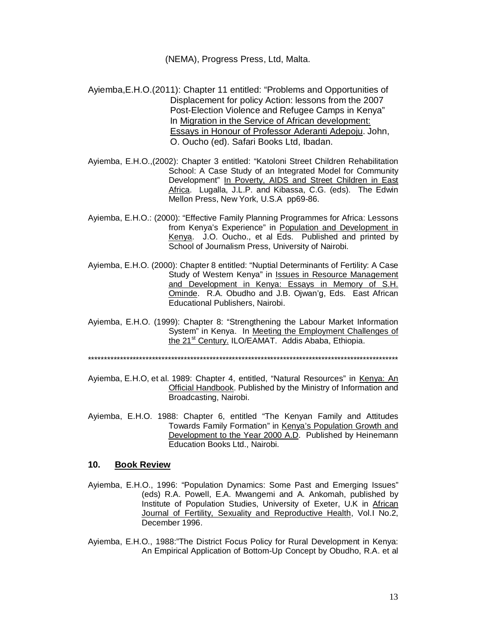(NEMA), Progress Press, Ltd, Malta.

- Ayiemba,E.H.O.(2011): Chapter 11 entitled: "Problems and Opportunities of Displacement for policy Action: lessons from the 2007 Post-Election Violence and Refugee Camps in Kenya" In Migration in the Service of African development: Essays in Honour of Professor Aderanti Adepoju. John, O. Oucho (ed). Safari Books Ltd, Ibadan.
- Ayiemba, E.H.O.,(2002): Chapter 3 entitled: "Katoloni Street Children Rehabilitation School: A Case Study of an Integrated Model for Community Development" In Poverty, AIDS and Street Children in East Africa. Lugalla, J.L.P. and Kibassa, C.G. (eds). The Edwin Mellon Press, New York, U.S.A pp69-86.
- Ayiemba, E.H.O.: (2000): "Effective Family Planning Programmes for Africa: Lessons from Kenya's Experience" in Population and Development in Kenya. J.O. Oucho., et al Eds. Published and printed by School of Journalism Press, University of Nairobi.
- Ayiemba, E.H.O. (2000): Chapter 8 entitled: "Nuptial Determinants of Fertility: A Case Study of Western Kenya" in **Issues in Resource Management** and Development in Kenya: Essays in Memory of S.H. Ominde. R.A. Obudho and J.B. Ojwan'g, Eds. East African Educational Publishers, Nairobi.
- Ayiemba, E.H.O. (1999): Chapter 8: "Strengthening the Labour Market Information System" in Kenya. In Meeting the Employment Challenges of the 21<sup>st</sup> Century. ILO/EAMAT. Addis Ababa, Ethiopia.

\*\*\*\*\*\*\*\*\*\*\*\*\*\*\*\*\*\*\*\*\*\*\*\*\*\*\*\*\*\*\*\*\*\*\*\*\*\*\*\*\*\*\*\*\*\*\*\*\*\*\*\*\*\*\*\*\*\*\*\*\*\*\*\*\*\*\*\*\*\*\*\*\*\*\*\*\*\*\*\*\*\*\*\*\*\*\*\*\*\*\*\*\*\*\*\*\*

- Ayiemba, E.H.O, et al. 1989: Chapter 4, entitled, "Natural Resources" in Kenya: An Official Handbook. Published by the Ministry of Information and Broadcasting, Nairobi.
- Ayiemba, E.H.O. 1988: Chapter 6, entitled "The Kenyan Family and Attitudes Towards Family Formation" in Kenya's Population Growth and Development to the Year 2000 A.D. Published by Heinemann Education Books Ltd., Nairobi.

#### **10. Book Review**

- Ayiemba, E.H.O., 1996: "Population Dynamics: Some Past and Emerging Issues" (eds) R.A. Powell, E.A. Mwangemi and A. Ankomah, published by Institute of Population Studies, University of Exeter, U.K in African Journal of Fertility, Sexuality and Reproductive Health, Vol.I No.2, December 1996.
- Ayiemba, E.H.O., 1988:"The District Focus Policy for Rural Development in Kenya: An Empirical Application of Bottom-Up Concept by Obudho, R.A. et al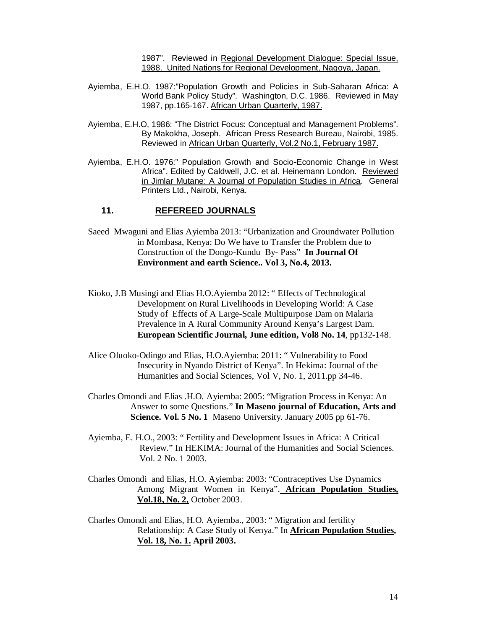1987". Reviewed in Regional Development Dialogue: Special Issue, 1988. United Nations for Regional Development, Nagoya, Japan.

- Ayiemba, E.H.O. 1987:"Population Growth and Policies in Sub-Saharan Africa: A World Bank Policy Study". Washington, D.C. 1986. Reviewed in May 1987, pp.165-167. African Urban Quarterly, 1987.
- Ayiemba, E.H.O, 1986: "The District Focus: Conceptual and Management Problems". By Makokha, Joseph. African Press Research Bureau, Nairobi, 1985. Reviewed in African Urban Quarterly, Vol.2 No.1, February 1987.
- Ayiemba, E.H.O. 1976:" Population Growth and Socio-Economic Change in West Africa". Edited by Caldwell, J.C. et al. Heinemann London. Reviewed in Jimlar Mutane: A Journal of Population Studies in Africa. General Printers Ltd., Nairobi, Kenya.

#### **11. REFEREED JOURNALS**

- Saeed Mwaguni and Elias Ayiemba 2013: "Urbanization and Groundwater Pollution in Mombasa, Kenya: Do We have to Transfer the Problem due to Construction of the Dongo-Kundu By- Pass" **In Journal Of Environment and earth Science.. Vol 3, No.4, 2013.**
- Kioko, J.B Musingi and Elias H.O.Ayiemba 2012: " Effects of Technological Development on Rural Livelihoods in Developing World: A Case Study of Effects of A Large-Scale Multipurpose Dam on Malaria Prevalence in A Rural Community Around Kenya's Largest Dam. **European Scientific Journal, June edition, Vol8 No. 14**, pp132-148.
- Alice Oluoko-Odingo and Elias, H.O.Ayiemba: 2011: " Vulnerability to Food Insecurity in Nyando District of Kenya". In Hekima: Journal of the Humanities and Social Sciences, Vol V, No. 1, 2011.pp 34-46.
- Charles Omondi and Elias .H.O. Ayiemba: 2005: "Migration Process in Kenya: An Answer to some Questions." **In Maseno journal of Education, Arts and Science. Vol. 5 No. 1** Maseno University. January 2005 pp 61-76.
- Ayiemba, E. H.O., 2003: " Fertility and Development Issues in Africa: A Critical Review." In HEKIMA: Journal of the Humanities and Social Sciences. Vol. 2 No. 1 2003.
- Charles Omondi and Elias, H.O. Ayiemba: 2003: "Contraceptives Use Dynamics Among Migrant Women in Kenya". **African Population Studies, Vol.18, No. 2,** October 2003.
- Charles Omondi and Elias, H.O. Ayiemba., 2003: " Migration and fertility Relationship: A Case Study of Kenya." In **African Population Studies, Vol. 18, No. 1. April 2003.**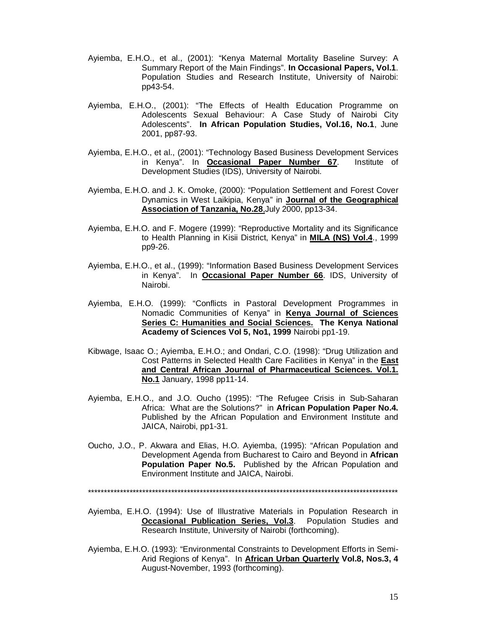- Ayiemba, E.H.O., et al., (2001): "Kenya Maternal Mortality Baseline Survey: A Summary Report of the Main Findings". **In Occasional Papers, Vol.1**. Population Studies and Research Institute, University of Nairobi: pp43-54.
- Ayiemba, E.H.O., (2001): "The Effects of Health Education Programme on Adolescents Sexual Behaviour: A Case Study of Nairobi City Adolescents". **In African Population Studies, Vol.16, No.1**, June 2001, pp87-93.
- Ayiemba, E.H.O., et al., (2001): "Technology Based Business Development Services in Kenya". In **Occasional Paper Number 67**. Institute of Development Studies (IDS), University of Nairobi.
- Ayiemba, E.H.O. and J. K. Omoke, (2000): "Population Settlement and Forest Cover Dynamics in West Laikipia, Kenya" in **Journal of the Geographical Association of Tanzania, No.28**,July 2000, pp13-34.
- Ayiemba, E.H.O. and F. Mogere (1999): "Reproductive Mortality and its Significance to Health Planning in Kisii District, Kenya" in **MILA (NS) Vol.4**., 1999 pp9-26.
- Ayiemba, E.H.O., et al., (1999): "Information Based Business Development Services in Kenya". In **Occasional Paper Number 66**. IDS, University of Nairobi.
- Ayiemba, E.H.O. (1999): "Conflicts in Pastoral Development Programmes in Nomadic Communities of Kenya" in **Kenya Journal of Sciences Series C: Humanities and Social Sciences. The Kenya National Academy of Sciences Vol 5, No1, 1999** Nairobi pp1-19.
- Kibwage, Isaac O.; Ayiemba, E.H.O.; and Ondari, C.O. (1998): "Drug Utilization and Cost Patterns in Selected Health Care Facilities in Kenya" in the **East and Central African Journal of Pharmaceutical Sciences. Vol.1. No.1** January, 1998 pp11-14.
- Ayiemba, E.H.O., and J.O. Oucho (1995): "The Refugee Crisis in Sub-Saharan Africa: What are the Solutions?" in **African Population Paper No.4.** Published by the African Population and Environment Institute and JAICA, Nairobi, pp1-31.
- Oucho, J.O., P. Akwara and Elias, H.O. Ayiemba, (1995): "African Population and Development Agenda from Bucharest to Cairo and Beyond in **African Population Paper No.5.** Published by the African Population and Environment Institute and JAICA, Nairobi.

- Ayiemba, E.H.O. (1994): Use of Illustrative Materials in Population Research in **Occasional Publication Series, Vol.3**. Population Studies and Research Institute, University of Nairobi (forthcoming).
- Ayiemba, E.H.O. (1993): "Environmental Constraints to Development Efforts in Semi-Arid Regions of Kenya". In **African Urban Quarterly Vol.8, Nos.3, 4** August-November, 1993 (forthcoming).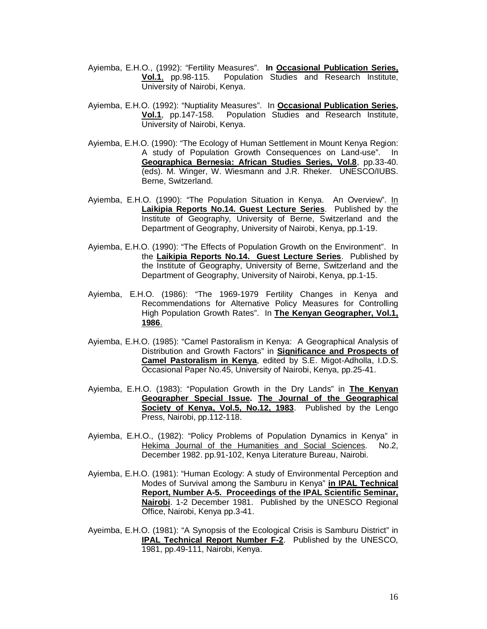- Ayiemba, E.H.O., (1992): "Fertility Measures". **In Occasional Publication Series, Vol.1**, pp.98-115. Population Studies and Research Institute, University of Nairobi, Kenya.
- Ayiemba, E.H.O. (1992): "Nuptiality Measures". In **Occasional Publication Series, Vol.1**, pp.147-158. Population Studies and Research Institute, University of Nairobi, Kenya.
- Ayiemba, E.H.O. (1990): "The Ecology of Human Settlement in Mount Kenya Region: A study of Population Growth Consequences on Land-use". In **Geographica Bernesia: African Studies Series, Vol.8**, pp.33-40. (eds). M. Winger, W. Wiesmann and J.R. Rheker. UNESCO/IUBS. Berne, Switzerland.
- Ayiemba, E.H.O. (1990): "The Population Situation in Kenya. An Overview". In **Laikipia Reports No.14. Guest Lecture Series**. Published by the Institute of Geography, University of Berne, Switzerland and the Department of Geography, University of Nairobi, Kenya, pp.1-19.
- Ayiemba, E.H.O. (1990): "The Effects of Population Growth on the Environment". In the **Laikipia Reports No.14. Guest Lecture Series**. Published by the Institute of Geography, University of Berne, Switzerland and the Department of Geography, University of Nairobi, Kenya, pp.1-15.
- Ayiemba, E.H.O. (1986): "The 1969-1979 Fertility Changes in Kenya and Recommendations for Alternative Policy Measures for Controlling High Population Growth Rates". In **The Kenyan Geographer, Vol.1, 1986**.
- Ayiemba, E.H.O. (1985): "Camel Pastoralism in Kenya: A Geographical Analysis of Distribution and Growth Factors" in **Significance and Prospects of Camel Pastoralism in Kenya**, edited by S.E. Migot-Adholla, I.D.S. Occasional Paper No.45, University of Nairobi, Kenya, pp.25-41.
- Ayiemba, E.H.O. (1983): "Population Growth in the Dry Lands" in **The Kenyan Geographer Special Issue. The Journal of the Geographical Society of Kenya, Vol.5, No.12, 1983**. Published by the Lengo Press, Nairobi, pp.112-118.
- Ayiemba, E.H.O., (1982): "Policy Problems of Population Dynamics in Kenya" in Hekima Journal of the Humanities and Social Sciences. No.2, December 1982. pp.91-102, Kenya Literature Bureau, Nairobi.
- Ayiemba, E.H.O. (1981): "Human Ecology: A study of Environmental Perception and Modes of Survival among the Samburu in Kenya" **in IPAL Technical Report, Number A-5. Proceedings of the IPAL Scientific Seminar, Nairobi**. 1-2 December 1981. Published by the UNESCO Regional Office, Nairobi, Kenya pp.3-41.
- Ayeimba, E.H.O. (1981): "A Synopsis of the Ecological Crisis is Samburu District" in **IPAL Technical Report Number F-2**. Published by the UNESCO, 1981, pp.49-111, Nairobi, Kenya.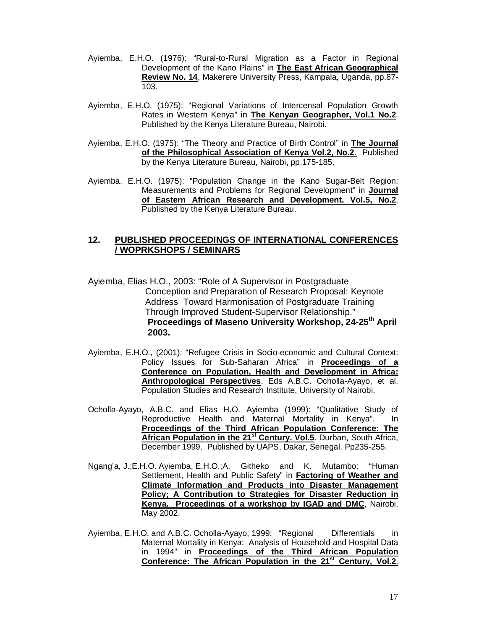- Ayiemba, E.H.O. (1976): "Rural-to-Rural Migration as a Factor in Regional Development of the Kano Plains" in **The East African Geographical Review No. 14**, Makerere University Press, Kampala, Uganda, pp.87- 103.
- Ayiemba, E.H.O. (1975): "Regional Variations of Intercensal Population Growth Rates in Western Kenya" in **The Kenyan Geographer, Vol.1 No.2**. Published by the Kenya Literature Bureau, Nairobi.
- Ayiemba, E.H.O. (1975): "The Theory and Practice of Birth Control" in **The Journal of the Philosophical Association of Kenya Vol.2, No.2**. Published by the Kenya Literature Bureau, Nairobi, pp.175-185.
- Ayiemba, E.H.O. (1975): "Population Change in the Kano Sugar-Belt Region: Measurements and Problems for Regional Development" in **Journal of Eastern African Research and Development. Vol.5, No.2**. Published by the Kenya Literature Bureau.

#### **12. PUBLISHED PROCEEDINGS OF INTERNATIONAL CONFERENCES / WOPRKSHOPS / SEMINARS**

- Ayiemba, Elias H.O., 2003: "Role of A Supervisor in Postgraduate Conception and Preparation of Research Proposal: Keynote Address Toward Harmonisation of Postgraduate Training Through Improved Student-Supervisor Relationship."  **Proceedings of Maseno University Workshop, 24-25th April 2003.**
- Ayiemba, E.H.O., (2001): "Refugee Crisis in Socio-economic and Cultural Context: Policy Issues for Sub-Saharan Africa" in **Proceedings of a Conference on Population, Health and Development in Africa: Anthropological Perspectives**. Eds A.B.C. Ocholla-Ayayo, et al. Population Studies and Research Institute, University of Nairobi.
- Ocholla-Ayayo, A.B.C. and Elias H.O. Ayiemba (1999): "Qualitative Study of Reproductive Health and Maternal Mortality in Kenya". In **Proceedings of the Third African Population Conference: The African Population in the 21st Century. Vol.5**. Durban, South Africa, December 1999. Published by UAPS, Dakar, Senegal. Pp235-255.
- Ngang'a, J.;E.H.O. Ayiemba, E.H.O.;A. Githeko and K. Mutambo: "Human Settlement, Health and Public Safety" in **Factoring of Weather and Climate Information and Products into Disaster Management Policy; A Contribution to Strategies for Disaster Reduction in Kenya. Proceedings of a workshop by IGAD and DMC**, Nairobi, May 2002.
- Ayiemba, E.H.O. and A.B.C. Ocholla-Ayayo, 1999: "Regional Differentials in Maternal Mortality in Kenya: Analysis of Household and Hospital Data in 1994" in **Proceedings of the Third African Population Conference: The African Population in the 21st Century, Vol.2**.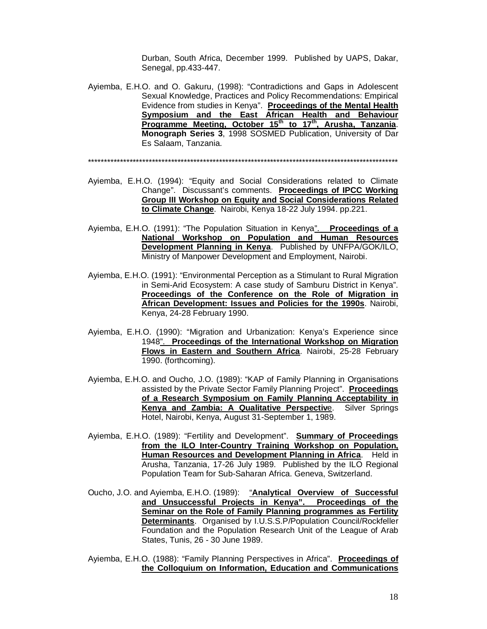Durban, South Africa, December 1999. Published by UAPS, Dakar, Senegal, pp.433-447.

Ayiemba, E.H.O. and O. Gakuru, (1998): "Contradictions and Gaps in Adolescent Sexual Knowledge, Practices and Policy Recommendations: Empirical Evidence from studies in Kenya". **Proceedings of the Mental Health Symposium and the East African Health and Behaviour Programme Meeting, October 15th to 17th, Arusha, Tanzania**. **Monograph Series 3**, 1998 SOSMED Publication, University of Dar Es Salaam, Tanzania.

- Ayiemba, E.H.O. (1994): "Equity and Social Considerations related to Climate Change". Discussant's comments. **Proceedings of IPCC Working Group III Workshop on Equity and Social Considerations Related to Climate Change**. Nairobi, Kenya 18-22 July 1994. pp.221.
- Ayiemba, E.H.O. (1991): "The Population Situation in Kenya". **Proceedings of a National Workshop on Population and Human Resources Development Planning in Kenya**. Published by UNFPA/GOK/ILO, Ministry of Manpower Development and Employment, Nairobi.
- Ayiemba, E.H.O. (1991): "Environmental Perception as a Stimulant to Rural Migration in Semi-Arid Ecosystem: A case study of Samburu District in Kenya". **Proceedings of the Conference on the Role of Migration in African Development: Issues and Policies for the 1990s**. Nairobi, Kenya, 24-28 February 1990.
- Ayiemba, E.H.O. (1990): "Migration and Urbanization: Kenya's Experience since 1948". **Proceedings of the International Workshop on Migration Flows in Eastern and Southern Africa**. Nairobi, 25-28 February 1990. (forthcoming).
- Ayiemba, E.H.O. and Oucho, J.O. (1989): "KAP of Family Planning in Organisations assisted by the Private Sector Family Planning Project". **Proceedings of a Research Symposium on Family Planning Acceptability in Kenya and Zambia: A Qualitative Perspectiv**e. Silver Springs Hotel, Nairobi, Kenya, August 31-September 1, 1989.
- Ayiemba, E.H.O. (1989): "Fertility and Development". **Summary of Proceedings from the ILO Inter-Country Training Workshop on Population, Human Resources and Development Planning in Africa**. Held in Arusha, Tanzania, 17-26 July 1989. Published by the ILO Regional Population Team for Sub-Saharan Africa. Geneva, Switzerland.
- Oucho, J.O. and Ayiemba, E.H.O. (1989): "**Analytical Overview of Successful and Unsuccessful Projects in Kenya". Proceedings of the Seminar on the Role of Family Planning programmes as Fertility Determinants**. Organised by I.U.S.S.P/Population Council/Rockfeller Foundation and the Population Research Unit of the League of Arab States, Tunis, 26 - 30 June 1989.
- Ayiemba, E.H.O. (1988): "Family Planning Perspectives in Africa". **Proceedings of the Colloquium on Information, Education and Communications**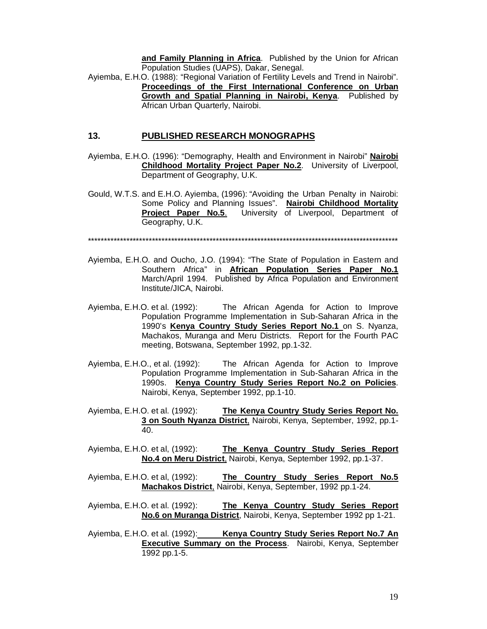**and Family Planning in Africa**. Published by the Union for African Population Studies (UAPS), Dakar, Senegal.

Ayiemba, E.H.O. (1988): "Regional Variation of Fertility Levels and Trend in Nairobi". **Proceedings of the First International Conference on Urban Growth and Spatial Planning in Nairobi, Kenya**. Published by African Urban Quarterly, Nairobi.

#### **13. PUBLISHED RESEARCH MONOGRAPHS**

- Ayiemba, E.H.O. (1996): "Demography, Health and Environment in Nairobi" **Nairobi Childhood Mortality Project Paper No.2**. University of Liverpool, Department of Geography, U.K.
- Gould, W.T.S. and E.H.O. Ayiemba, (1996): "Avoiding the Urban Penalty in Nairobi: Some Policy and Planning Issues". **Nairobi Childhood Mortality Project Paper No.5.** University of Liverpool, Department of Geography, U.K.

- Ayiemba, E.H.O. and Oucho, J.O. (1994): "The State of Population in Eastern and Southern Africa" in **African Population Series Paper No.1** March/April 1994. Published by Africa Population and Environment Institute/JICA, Nairobi.
- Ayiemba, E.H.O. et al. (1992): The African Agenda for Action to Improve Population Programme Implementation in Sub-Saharan Africa in the 1990's **Kenya Country Study Series Report No.1** on S. Nyanza, Machakos, Muranga and Meru Districts. Report for the Fourth PAC meeting, Botswana, September 1992, pp.1-32.
- Ayiemba, E.H.O., et al. (1992): The African Agenda for Action to Improve Population Programme Implementation in Sub-Saharan Africa in the 1990s. **Kenya Country Study Series Report No.2 on Policies**. Nairobi, Kenya, September 1992, pp.1-10.
- Ayiemba, E.H.O. et al. (1992): **The Kenya Country Study Series Report No. 3 on South Nyanza District**, Nairobi, Kenya, September, 1992, pp.1- 40.
- Ayiemba, E.H.O. et al, (1992): **The Kenya Country Study Series Report No.4 on Meru District**, Nairobi, Kenya, September 1992, pp.1-37.
- Ayiemba, E.H.O. et al, (1992): **The Country Study Series Report No.5 Machakos District**, Nairobi, Kenya, September, 1992 pp.1-24.
- Ayiemba, E.H.O. et al. (1992): **The Kenya Country Study Series Report No.6 on Muranga District**, Nairobi, Kenya, September 1992 pp 1-21.
- Ayiemba, E.H.O. et al. (1992): **Kenya Country Study Series Report No.7 An Executive Summary on the Process**. Nairobi, Kenya, September 1992 pp.1-5.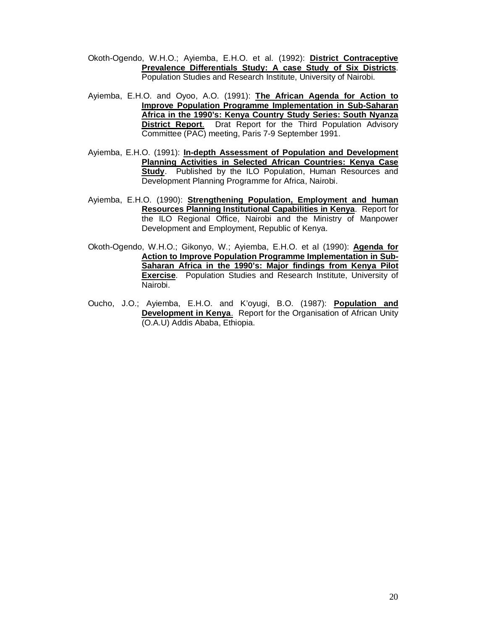- Okoth-Ogendo, W.H.O.; Ayiemba, E.H.O. et al. (1992): **District Contraceptive Prevalence Differentials Study: A case Study of Six Districts**. Population Studies and Research Institute, University of Nairobi.
- Ayiemba, E.H.O. and Oyoo, A.O. (1991): **The African Agenda for Action to Improve Population Programme Implementation in Sub-Saharan Africa in the 1990's: Kenya Country Study Series: South Nyanza District Report**. Drat Report for the Third Population Advisory Committee (PAC) meeting, Paris 7-9 September 1991.
- Ayiemba, E.H.O. (1991): **In-depth Assessment of Population and Development Planning Activities in Selected African Countries: Kenya Case Study**. Published by the ILO Population, Human Resources and Development Planning Programme for Africa, Nairobi.
- Ayiemba, E.H.O. (1990): **Strengthening Population, Employment and human Resources Planning Institutional Capabilities in Kenya**. Report for the ILO Regional Office, Nairobi and the Ministry of Manpower Development and Employment, Republic of Kenya.
- Okoth-Ogendo, W.H.O.; Gikonyo, W.; Ayiemba, E.H.O. et al (1990): **Agenda for Action to Improve Population Programme Implementation in Sub-Saharan Africa in the 1990's: Major findings from Kenya Pilot Exercise**. Population Studies and Research Institute, University of Nairobi.
- Oucho, J.O.; Ayiemba, E.H.O. and K'oyugi, B.O. (1987): **Population and Development in Kenya.** Report for the Organisation of African Unity (O.A.U) Addis Ababa, Ethiopia.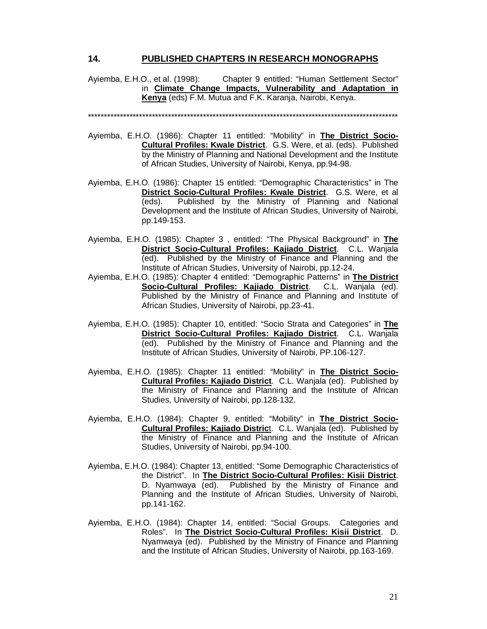#### **14. PUBLISHED CHAPTERS IN RESEARCH MONOGRAPHS**

Ayiemba, E.H.O., et al. (1998): Chapter 9 entitled: "Human Settlement Sector" in **Climate Change Impacts, Vulnerability and Adaptation in Kenya** (eds) F.M. Mutua and F.K. Karanja, Nairobi, Kenya.

- Ayiemba, E.H.O. (1986): Chapter 11 entitled: "Mobility" in **The District Socio-Cultural Profiles: Kwale District**. G.S. Were, et al. (eds). Published by the Ministry of Planning and National Development and the Institute of African Studies, University of Nairobi, Kenya, pp.94-98.
- Ayiemba, E.H.O. (1986): Chapter 15 entitled: "Demographic Characteristics" in The **District Socio-Cultural Profiles: Kwale District**. G.S. Were, et al (eds). Published by the Ministry of Planning and National Development and the Institute of African Studies, University of Nairobi, pp.149-153.
- Ayiemba, E.H.O. (1985): Chapter 3 , entitled: "The Physical Background" in **The District Socio-Cultural Profiles: Kajiado District**. C.L. Wanjala (ed). Published by the Ministry of Finance and Planning and the Institute of African Studies, University of Nairobi, pp.12-24.
- Ayiemba, E.H.O. (1985): Chapter 4 entitled: "Demographic Patterns" in **The District Socio-Cultural Profiles: Kajiado District**. C.L. Wanjala (ed). Published by the Ministry of Finance and Planning and Institute of African Studies, University of Nairobi, pp.23-41.
- Ayiemba, E.H.O. (1985): Chapter 10, entitled: "Socio Strata and Categories" in **The District Socio-Cultural Profiles: Kajiado District**. C.L. Wanjala (ed). Published by the Ministry of Finance and Planning and the Institute of African Studies, University of Nairobi, PP.106-127.
- Ayiemba, E.H.O. (1985): Chapter 11 entitled: "Mobility" in **The District Socio-Cultural Profiles: Kajiado District**. C.L. Wanjala (ed). Published by the Ministry of Finance and Planning and the Institute of African Studies, University of Nairobi, pp.128-132.
- Ayiemba, E.H.O. (1984): Chapter 9, entitled: "Mobility" in **The District Socio-Cultural Profiles: Kajiado Distric**t. C.L. Wanjala (ed). Published by the Ministry of Finance and Planning and the Institute of African Studies, University of Nairobi, pp.94-100.
- Ayiemba, E.H.O. (1984): Chapter 13, entitled: "Some Demographic Characteristics of the District". In **The District Socio-Cultural Profiles: Kisii District**. D. Nyamwaya (ed). Published by the Ministry of Finance and Planning and the Institute of African Studies, University of Nairobi, pp.141-162.
- Ayiemba, E.H.O. (1984): Chapter 14, entitled: "Social Groups. Categories and Roles". In **The District Socio-Cultural Profiles: Kisii District**. D. Nyamwaya (ed). Published by the Ministry of Finance and Planning and the Institute of African Studies, University of Nairobi, pp.163-169.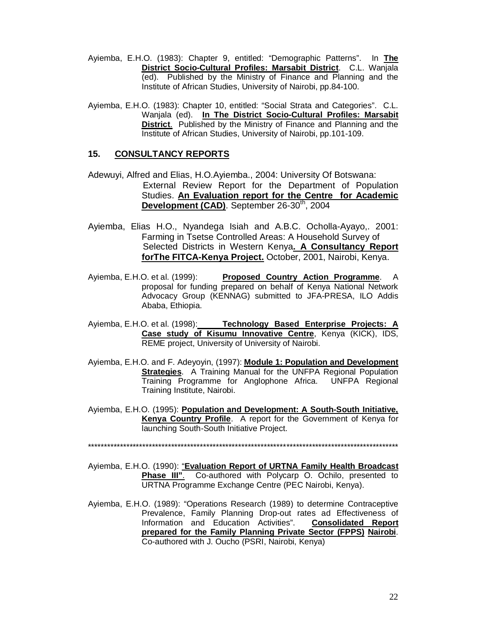- Ayiemba, E.H.O. (1983): Chapter 9, entitled: "Demographic Patterns". In **The District Socio-Cultural Profiles: Marsabit District**. C.L. Wanjala (ed). Published by the Ministry of Finance and Planning and the Institute of African Studies, University of Nairobi, pp.84-100.
- Ayiemba, E.H.O. (1983): Chapter 10, entitled: "Social Strata and Categories". C.L. Wanjala (ed). **In The District Socio-Cultural Profiles: Marsabit District**. Published by the Ministry of Finance and Planning and the Institute of African Studies, University of Nairobi, pp.101-109.

#### **15. CONSULTANCY REPORTS**

- Adewuyi, Alfred and Elias, H.O.Ayiemba., 2004: University Of Botswana: External Review Report for the Department of Population Studies. **An Evaluation report for the Centre for Academic**  Development (CAD). September 26-30<sup>th</sup>, 2004
- Ayiemba, Elias H.O., Nyandega Isiah and A.B.C. Ocholla-Ayayo,. 2001: Farming in Tsetse Controlled Areas: A Household Survey of Selected Districts in Western Kenya**. A Consultancy Report forThe FITCA-Kenya Project.** October, 2001, Nairobi, Kenya.
- Ayiemba, E.H.O. et al. (1999): **Proposed Country Action Programme**. A proposal for funding prepared on behalf of Kenya National Network Advocacy Group (KENNAG) submitted to JFA-PRESA, ILO Addis Ababa, Ethiopia.
- Ayiemba, E.H.O. et al. (1998): **Technology Based Enterprise Projects: A Case study of Kisumu Innovative Centre**, Kenya (KICK), IDS, REME project, University of University of Nairobi.
- Ayiemba, E.H.O. and F. Adeyoyin, (1997): **Module 1: Population and Development Strategies**. A Training Manual for the UNFPA Regional Population Training Programme for Anglophone Africa. UNFPA Regional Training Institute, Nairobi.
- Ayiemba, E.H.O. (1995): **Population and Development: A South-South Initiative, Kenya Country Profile**. A report for the Government of Kenya for launching South-South Initiative Project.

- Ayiemba, E.H.O. (1990): "**Evaluation Report of URTNA Family Health Broadcast Phase III".** Co-authored with Polycarp O. Ochilo, presented to URTNA Programme Exchange Centre (PEC Nairobi, Kenya).
- Ayiemba, E.H.O. (1989): "Operations Research (1989) to determine Contraceptive Prevalence, Family Planning Drop-out rates ad Effectiveness of Information and Education Activities". **Consolidated Report prepared for the Family Planning Private Sector (FPPS) Nairobi**. Co-authored with J. Oucho (PSRI, Nairobi, Kenya)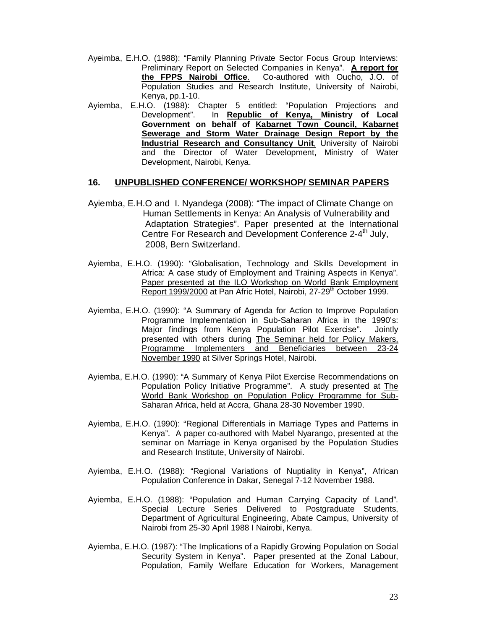- Ayeimba, E.H.O. (1988): "Family Planning Private Sector Focus Group Interviews: Preliminary Report on Selected Companies in Kenya". **A report for the FPPS Nairobi Office**. Co-authored with Oucho, J.O. of Population Studies and Research Institute, University of Nairobi, Kenya, pp.1-10.
- Ayiemba, E.H.O. (1988): Chapter 5 entitled: "Population Projections and Development". In **Republic of Kenya, Ministry of Local Government on behalf of Kabarnet Town Council, Kabarnet Sewerage and Storm Water Drainage Design Report by the Industrial Research and Consultancy Unit**, University of Nairobi and the Director of Water Development, Ministry of Water Development, Nairobi, Kenya.

#### **16. UNPUBLISHED CONFERENCE/ WORKSHOP/ SEMINAR PAPERS**

- Ayiemba, E.H.O and I. Nyandega (2008): "The impact of Climate Change on Human Settlements in Kenya: An Analysis of Vulnerability and Adaptation Strategies". Paper presented at the International Centre For Research and Development Conference 2-4<sup>th</sup> July, 2008, Bern Switzerland.
- Ayiemba, E.H.O. (1990): "Globalisation, Technology and Skills Development in Africa: A case study of Employment and Training Aspects in Kenya". Paper presented at the ILO Workshop on World Bank Employment Report 1999/2000 at Pan Afric Hotel, Nairobi, 27-29<sup>th</sup> October 1999.
- Ayiemba, E.H.O. (1990): "A Summary of Agenda for Action to Improve Population Programme Implementation in Sub-Saharan Africa in the 1990's: Major findings from Kenya Population Pilot Exercise". Jointly presented with others during The Seminar held for Policy Makers, Programme Implementers and Beneficiaries between 23-24 November 1990 at Silver Springs Hotel, Nairobi.
- Ayiemba, E.H.O. (1990): "A Summary of Kenya Pilot Exercise Recommendations on Population Policy Initiative Programme". A study presented at The World Bank Workshop on Population Policy Programme for Sub-Saharan Africa, held at Accra, Ghana 28-30 November 1990.
- Ayiemba, E.H.O. (1990): "Regional Differentials in Marriage Types and Patterns in Kenya". A paper co-authored with Mabel Nyarango, presented at the seminar on Marriage in Kenya organised by the Population Studies and Research Institute, University of Nairobi.
- Ayiemba, E.H.O. (1988): "Regional Variations of Nuptiality in Kenya", African Population Conference in Dakar, Senegal 7-12 November 1988.
- Ayiemba, E.H.O. (1988): "Population and Human Carrying Capacity of Land". Special Lecture Series Delivered to Postgraduate Students, Department of Agricultural Engineering, Abate Campus, University of Nairobi from 25-30 April 1988 I Nairobi, Kenya.
- Ayiemba, E.H.O. (1987): "The Implications of a Rapidly Growing Population on Social Security System in Kenya". Paper presented at the Zonal Labour, Population, Family Welfare Education for Workers, Management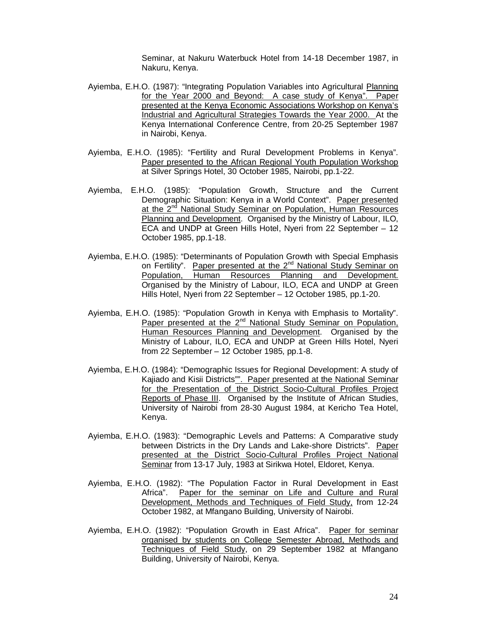Seminar, at Nakuru Waterbuck Hotel from 14-18 December 1987, in Nakuru, Kenya.

- Ayiemba, E.H.O. (1987): "Integrating Population Variables into Agricultural Planning for the Year 2000 and Beyond: A case study of Kenya". Paper presented at the Kenya Economic Associations Workshop on Kenya's Industrial and Agricultural Strategies Towards the Year 2000. At the Kenya International Conference Centre, from 20-25 September 1987 in Nairobi, Kenya.
- Ayiemba, E.H.O. (1985): "Fertility and Rural Development Problems in Kenya". Paper presented to the African Regional Youth Population Workshop at Silver Springs Hotel, 30 October 1985, Nairobi, pp.1-22.
- Ayiemba, E.H.O. (1985): "Population Growth, Structure and the Current Demographic Situation: Kenya in a World Context". Paper presented at the 2<sup>nd</sup> National Study Seminar on Population, Human Resources Planning and Development. Organised by the Ministry of Labour, ILO, ECA and UNDP at Green Hills Hotel, Nyeri from 22 September – 12 October 1985, pp.1-18.
- Ayiemba, E.H.O. (1985): "Determinants of Population Growth with Special Emphasis on Fertility". Paper presented at the 2<sup>nd</sup> National Study Seminar on Population, Human Resources Planning and Development. Organised by the Ministry of Labour, ILO, ECA and UNDP at Green Hills Hotel, Nyeri from 22 September – 12 October 1985, pp.1-20.
- Ayiemba, E.H.O. (1985): "Population Growth in Kenya with Emphasis to Mortality". Paper presented at the 2<sup>nd</sup> National Study Seminar on Population, Human Resources Planning and Development. Organised by the Ministry of Labour, ILO, ECA and UNDP at Green Hills Hotel, Nyeri from 22 September – 12 October 1985, pp.1-8.
- Ayiemba, E.H.O. (1984): "Demographic Issues for Regional Development: A study of Kajiado and Kisii Districts"". Paper presented at the National Seminar for the Presentation of the District Socio-Cultural Profiles Project Reports of Phase III. Organised by the Institute of African Studies, University of Nairobi from 28-30 August 1984, at Kericho Tea Hotel, Kenya.
- Ayiemba, E.H.O. (1983): "Demographic Levels and Patterns: A Comparative study between Districts in the Dry Lands and Lake-shore Districts". Paper presented at the District Socio-Cultural Profiles Project National Seminar from 13-17 July, 1983 at Sirikwa Hotel, Eldoret, Kenya.
- Ayiemba, E.H.O. (1982): "The Population Factor in Rural Development in East Africa". Paper for the seminar on Life and Culture and Rural Development, Methods and Techniques of Field Study, from 12-24 October 1982, at Mfangano Building, University of Nairobi.
- Ayiemba, E.H.O. (1982): "Population Growth in East Africa". Paper for seminar organised by students on College Semester Abroad, Methods and Techniques of Field Study, on 29 September 1982 at Mfangano Building, University of Nairobi, Kenya.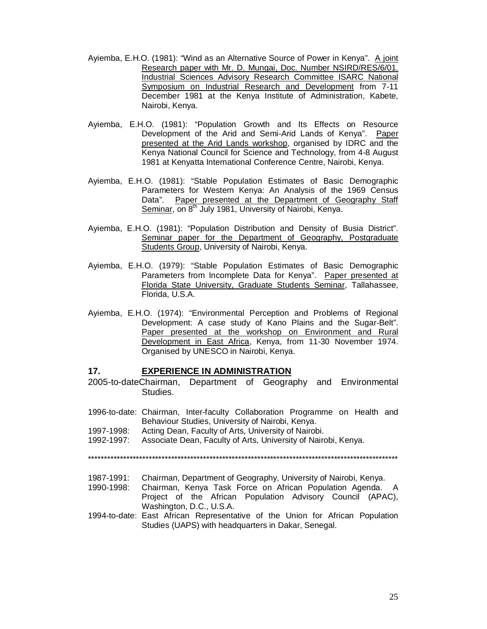- Ayiemba, E.H.O. (1981): "Wind as an Alternative Source of Power in Kenya". A joint Research paper with Mr. D. Mungai, Doc. Number NSIRD/RES/6/01. Industrial Sciences Advisory Research Committee ISARC National Symposium on Industrial Research and Development from 7-11 December 1981 at the Kenya Institute of Administration, Kabete, Nairobi, Kenya.
- Ayiemba, E.H.O. (1981): "Population Growth and Its Effects on Resource Development of the Arid and Semi-Arid Lands of Kenya". Paper presented at the Arid Lands workshop, organised by IDRC and the Kenya National Council for Science and Technology, from 4-8 August 1981 at Kenyatta International Conference Centre, Nairobi, Kenya.
- Ayiemba, E.H.O. (1981): "Stable Population Estimates of Basic Demographic Parameters for Western Kenya: An Analysis of the 1969 Census Data". Paper presented at the Department of Geography Staff Seminar, on 8<sup>th</sup> July 1981, University of Nairobi, Kenya.
- Ayiemba, E.H.O. (1981): "Population Distribution and Density of Busia District". Seminar paper for the Department of Geography, Postgraduate Students Group, University of Nairobi, Kenya.
- Ayiemba, E.H.O. (1979): "Stable Population Estimates of Basic Demographic Parameters from Incomplete Data for Kenya". Paper presented at Florida State University, Graduate Students Seminar, Tallahassee, Florida, U.S.A.
- Ayiemba, E.H.O. (1974): "Environmental Perception and Problems of Regional Development: A case study of Kano Plains and the Sugar-Belt". Paper presented at the workshop on Environment and Rural Development in East Africa, Kenya, from 11-30 November 1974. Organised by UNESCO in Nairobi, Kenya.

#### **17. EXPERIENCE IN ADMINISTRATION**

- 2005-to-dateChairman, Department of Geography and Environmental Studies.
- 1996-to-date: Chairman, Inter-faculty Collaboration Programme on Health and Behaviour Studies, University of Nairobi, Kenya.
- 1997-1998: Acting Dean, Faculty of Arts, University of Nairobi.
- 1992-1997: Associate Dean, Faculty of Arts, University of Nairobi, Kenya.

- 1987-1991: Chairman, Department of Geography, University of Nairobi, Kenya.
- 1990-1998: Chairman, Kenya Task Force on African Population Agenda. A Project of the African Population Advisory Council (APAC), Washington, D.C., U.S.A.
- 1994-to-date: East African Representative of the Union for African Population Studies (UAPS) with headquarters in Dakar, Senegal.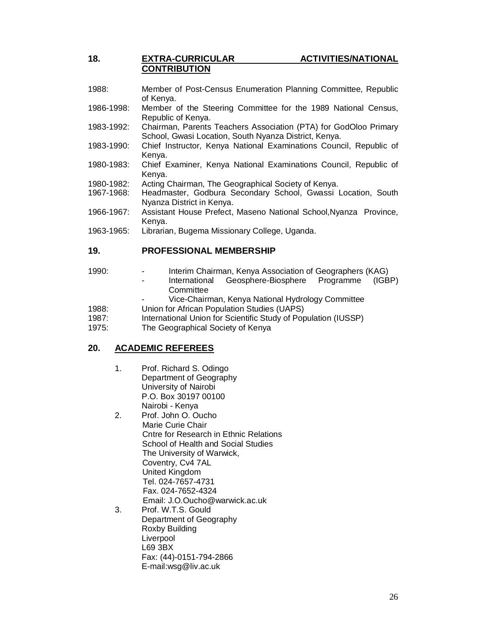## **18. EXTRA-CURRICULAR ACTIVITIES/NATIONAL CONTRIBUTION**

- 1988: Member of Post-Census Enumeration Planning Committee, Republic of Kenya.
- 1986-1998: Member of the Steering Committee for the 1989 National Census, Republic of Kenya.
- 1983-1992: Chairman, Parents Teachers Association (PTA) for GodOloo Primary School, Gwasi Location, South Nyanza District, Kenya.
- 1983-1990: Chief Instructor, Kenya National Examinations Council, Republic of Kenya.
- 1980-1983: Chief Examiner, Kenya National Examinations Council, Republic of Kenya.
- 1980-1982: Acting Chairman, The Geographical Society of Kenya.
- 1967-1968: Headmaster, Godbura Secondary School, Gwassi Location, South Nyanza District in Kenya.
- 1966-1967: Assistant House Prefect, Maseno National School,Nyanza Province, Kenya.
- 1963-1965: Librarian, Bugema Missionary College, Uganda.

#### **19. PROFESSIONAL MEMBERSHIP**

- 1990: Interim Chairman, Kenya Association of Geographers (KAG)
	- International Geosphere-Biosphere Programme (IGBP) **Committee**
	- Vice-Chairman, Kenya National Hydrology Committee
- 1988: Union for African Population Studies (UAPS)
- 1987: International Union for Scientific Study of Population (IUSSP)
- 1975: The Geographical Society of Kenya

#### **20. ACADEMIC REFEREES**

- 1. Prof. Richard S. Odingo Department of Geography University of Nairobi P.O. Box 30197 00100 Nairobi - Kenya
- 2. Prof. John O. Oucho Marie Curie Chair Cntre for Research in Ethnic Relations School of Health and Social Studies The University of Warwick, Coventry, Cv4 7AL United Kingdom Tel. 024-7657-4731 Fax. 024-7652-4324 Email: J.O.Oucho@warwick.ac.uk
- 3. Prof. W.T.S. Gould Department of Geography Roxby Building **Liverpool** L69 3BX Fax: (44)-0151-794-2866 E-mail:wsg@liv.ac.uk